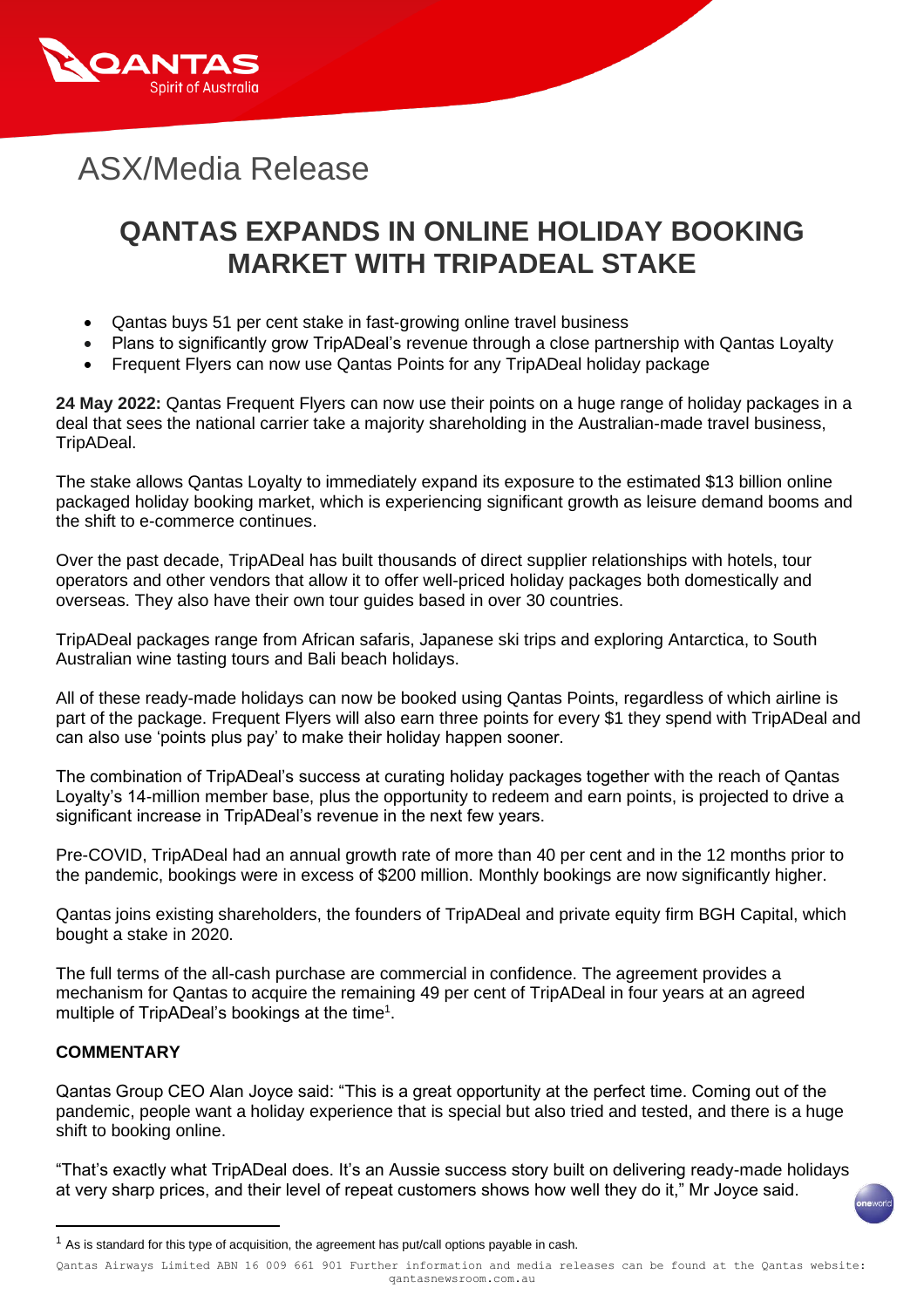

# ASX/Media Release

## **QANTAS EXPANDS IN ONLINE HOLIDAY BOOKING MARKET WITH TRIPADEAL STAKE**

- Qantas buys 51 per cent stake in fast-growing online travel business
- Plans to significantly grow TripADeal's revenue through a close partnership with Qantas Loyalty
- Frequent Flyers can now use Qantas Points for any TripADeal holiday package

**24 May 2022:** Qantas Frequent Flyers can now use their points on a huge range of holiday packages in a deal that sees the national carrier take a majority shareholding in the Australian-made travel business, TripADeal.

The stake allows Qantas Loyalty to immediately expand its exposure to the estimated \$13 billion online packaged holiday booking market, which is experiencing significant growth as leisure demand booms and the shift to e-commerce continues.

Over the past decade, TripADeal has built thousands of direct supplier relationships with hotels, tour operators and other vendors that allow it to offer well-priced holiday packages both domestically and overseas. They also have their own tour guides based in over 30 countries.

TripADeal packages range from African safaris, Japanese ski trips and exploring Antarctica, to South Australian wine tasting tours and Bali beach holidays.

All of these ready-made holidays can now be booked using Qantas Points, regardless of which airline is part of the package. Frequent Flyers will also earn three points for every \$1 they spend with TripADeal and can also use 'points plus pay' to make their holiday happen sooner.

The combination of TripADeal's success at curating holiday packages together with the reach of Qantas Loyalty's 14-million member base, plus the opportunity to redeem and earn points, is projected to drive a significant increase in TripADeal's revenue in the next few years.

Pre-COVID, TripADeal had an annual growth rate of more than 40 per cent and in the 12 months prior to the pandemic, bookings were in excess of \$200 million. Monthly bookings are now significantly higher.

Qantas joins existing shareholders, the founders of TripADeal and private equity firm BGH Capital, which bought a stake in 2020.

The full terms of the all-cash purchase are commercial in confidence. The agreement provides a mechanism for Qantas to acquire the remaining 49 per cent of TripADeal in four years at an agreed multiple of TripADeal's bookings at the time<sup>1</sup>.

### **COMMENTARY**

Qantas Group CEO Alan Joyce said: "This is a great opportunity at the perfect time. Coming out of the pandemic, people want a holiday experience that is special but also tried and tested, and there is a huge shift to booking online.

"That's exactly what TripADeal does. It's an Aussie success story built on delivering ready-made holidays at very sharp prices, and their level of repeat customers shows how well they do it," Mr Joyce said.

 $1$  As is standard for this type of acquisition, the agreement has put/call options payable in cash.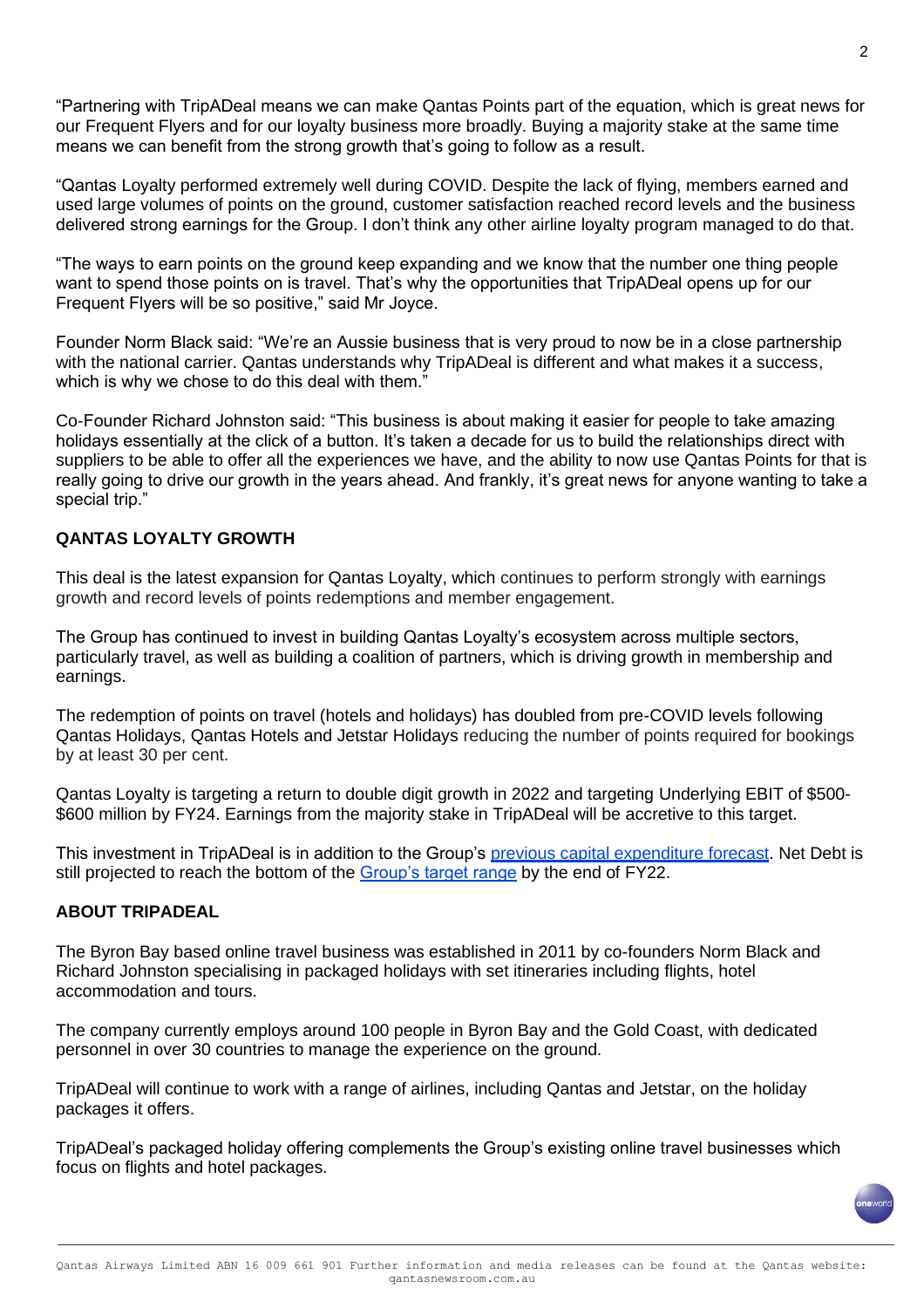"Partnering with TripADeal means we can make Qantas Points part of the equation, which is great news for our Frequent Flyers and for our loyalty business more broadly. Buying a majority stake at the same time means we can benefit from the strong growth that's going to follow as a result.

"Qantas Loyalty performed extremely well during COVID. Despite the lack of flying, members earned and used large volumes of points on the ground, customer satisfaction reached record levels and the business delivered strong earnings for the Group. I don't think any other airline loyalty program managed to do that.

"The ways to earn points on the ground keep expanding and we know that the number one thing people want to spend those points on is travel. That's why the opportunities that TripADeal opens up for our Frequent Flyers will be so positive," said Mr Joyce.

Founder Norm Black said: "We're an Aussie business that is very proud to now be in a close partnership with the national carrier. Qantas understands why TripADeal is different and what makes it a success, which is why we chose to do this deal with them."

Co-Founder Richard Johnston said: "This business is about making it easier for people to take amazing holidays essentially at the click of a button. It's taken a decade for us to build the relationships direct with suppliers to be able to offer all the experiences we have, and the ability to now use Qantas Points for that is really going to drive our growth in the years ahead. And frankly, it's great news for anyone wanting to take a special trip."

### **QANTAS LOYALTY GROWTH**

This deal is the latest expansion for Qantas Loyalty, which continues to perform strongly with earnings growth and record levels of points redemptions and member engagement.

The Group has continued to invest in building Qantas Loyalty's ecosystem across multiple sectors, particularly travel, as well as building a coalition of partners, which is driving growth in membership and earnings.

The redemption of points on travel (hotels and holidays) has doubled from pre-COVID levels following Qantas Holidays, Qantas Hotels and Jetstar Holidays reducing the number of points required for bookings by at least 30 per cent.

Qantas Loyalty is targeting a return to double digit growth in 2022 and targeting Underlying EBIT of \$500- \$600 million by FY24. Earnings from the majority stake in TripADeal will be accretive to this target.

This investment in TripADeal is in addition to the Group's [previous capital expenditure forecast.](https://www.qantasnewsroom.com.au/media-releases/qantas-group-posts-half-year-loss-but-strengthens-balance-sheet/) Net Debt is still projected to reach the bottom of the [Group's target range](https://www.qantasnewsroom.com.au/media-releases/qantas-group-trading-update-third-quarter-fy22/) by the end of FY22.

#### **ABOUT TRIPADEAL**

The Byron Bay based online travel business was established in 2011 by co-founders Norm Black and Richard Johnston specialising in packaged holidays with set itineraries including flights, hotel accommodation and tours.

The company currently employs around 100 people in Byron Bay and the Gold Coast, with dedicated personnel in over 30 countries to manage the experience on the ground.

TripADeal will continue to work with a range of airlines, including Qantas and Jetstar, on the holiday packages it offers.

TripADeal's packaged holiday offering complements the Group's existing online travel businesses which focus on flights and hotel packages.